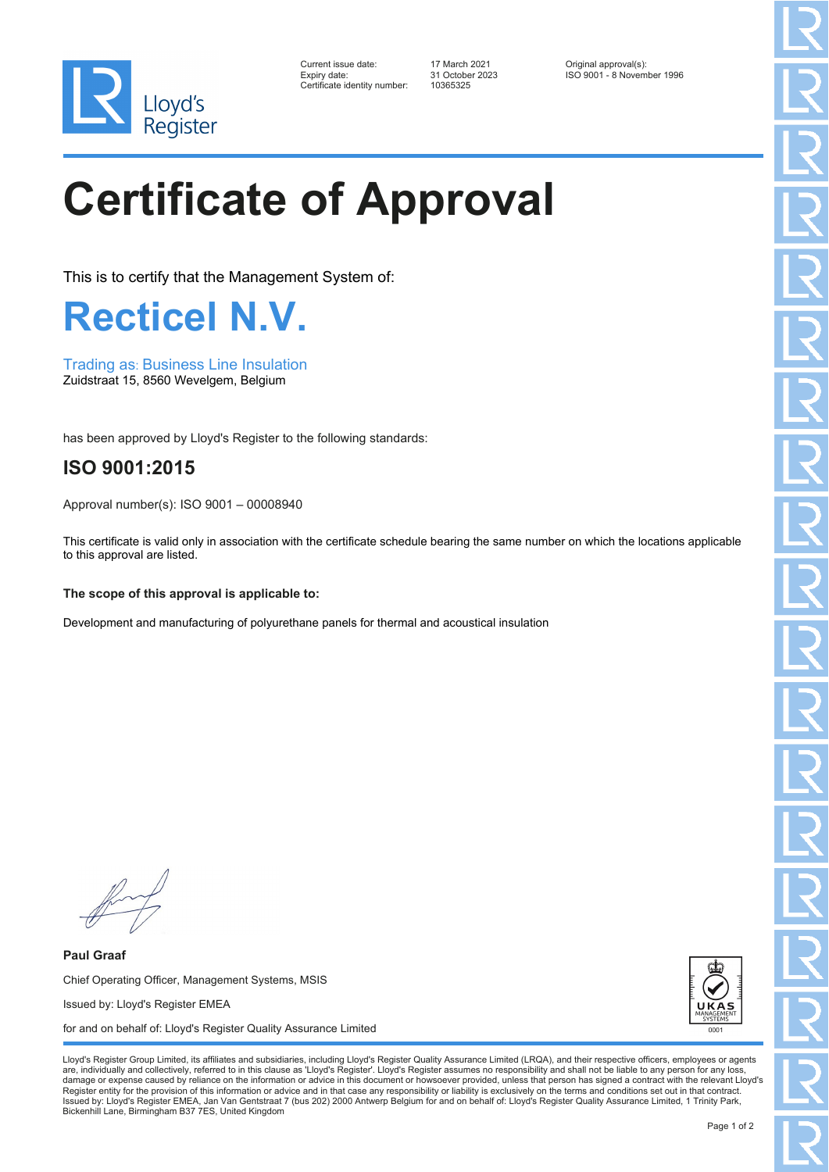

| Current issue date:          |
|------------------------------|
| Expiry date:                 |
| Certificate identity number: |

Certificate identity number: 10365325

Current issue date: 17 March 2021 Original approval(s): Expiry date: 31 October 2023 ISO 9001 - 8 November 1996

## **Certificate of Approval**

This is to certify that the Management System of:

**Recticel N.V.**

Trading as: Business Line Insulation Zuidstraat 15, 8560 Wevelgem, Belgium

has been approved by Lloyd's Register to the following standards:

## **ISO 9001:2015**

Approval number(s): ISO 9001 – 00008940

This certificate is valid only in association with the certificate schedule bearing the same number on which the locations applicable to this approval are listed.

## **The scope of this approval is applicable to:**

Development and manufacturing of polyurethane panels for thermal and acoustical insulation

**Paul Graaf** Chief Operating Officer, Management Systems, MSIS Issued by: Lloyd's Register EMEA for and on behalf of: Lloyd's Register Quality Assurance Limited



Lloyd's Register Group Limited, its affiliates and subsidiaries, including Lloyd's Register Quality Assurance Limited (LRQA), and their respective officers, employees or agents are, individually and collectively, referred to in this clause as 'Lloyd's Register'. Lloyd's Register assumes no responsibility and shall not be liable to any person for any los damage or expense caused by reliance on the information or advice in this document or howsoever provided, unless that person has signed a contract with the relevant Lloyd's<br>Register entity for the provision of this informa Issued by: Lloyd's Register EMEA, Jan Van Gentstraat 7 (bus 202) 2000 Antwerp Belgium for and on behalf of: Lloyd's Register Quality Assurance Limited, 1 Trinity Park, Bickenhill Lane, Birmingham B37 7ES, United Kingdom